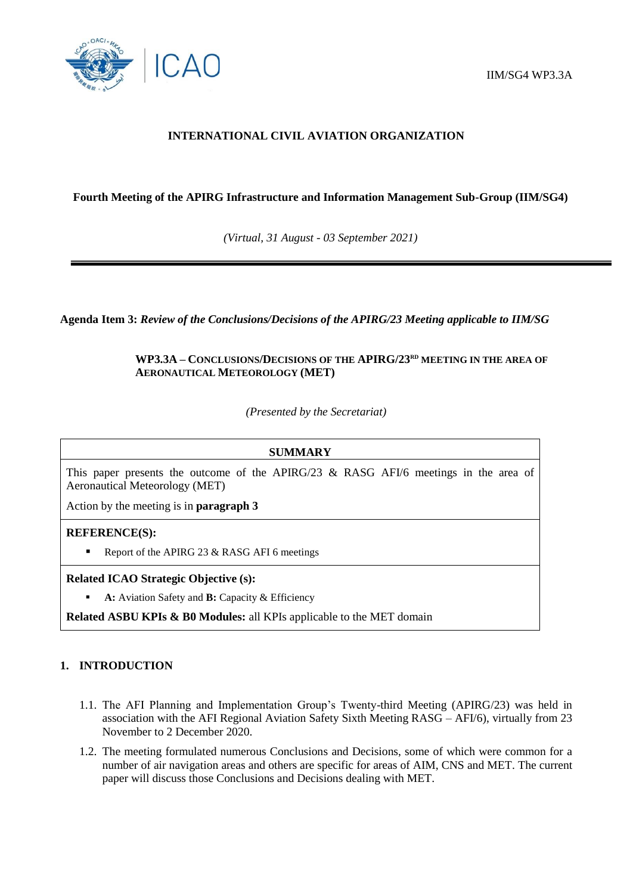

# **INTERNATIONAL CIVIL AVIATION ORGANIZATION**

## **Fourth Meeting of the APIRG Infrastructure and Information Management Sub-Group (IIM/SG4)**

*(Virtual, 31 August - 03 September 2021)*

**Agenda Item 3:** *Review of the Conclusions/Decisions of the APIRG/23 Meeting applicable to IIM/SG* 

# **WP3.3A – CONCLUSIONS/DECISIONS OF THE APIRG/23RD MEETING IN THE AREA OF AERONAUTICAL METEOROLOGY (MET)**

*(Presented by the Secretariat)*

### **SUMMARY**

This paper presents the outcome of the APIRG/23 & RASG AFI/6 meetings in the area of Aeronautical Meteorology (MET)

Action by the meeting is in **paragraph 3**

## **REFERENCE(S):**

Report of the APIRG 23 & RASG AFI 6 meetings

#### **Related ICAO Strategic Objective (s):**

**A:** Aviation Safety and **B:** Capacity & Efficiency

**Related ASBU KPIs & B0 Modules:** all KPIs applicable to the MET domain

## **1. INTRODUCTION**

- 1.1. The AFI Planning and Implementation Group's Twenty-third Meeting (APIRG/23) was held in association with the AFI Regional Aviation Safety Sixth Meeting RASG – AFI/6), virtually from 23 November to 2 December 2020.
- 1.2. The meeting formulated numerous Conclusions and Decisions, some of which were common for a number of air navigation areas and others are specific for areas of AIM, CNS and MET. The current paper will discuss those Conclusions and Decisions dealing with MET.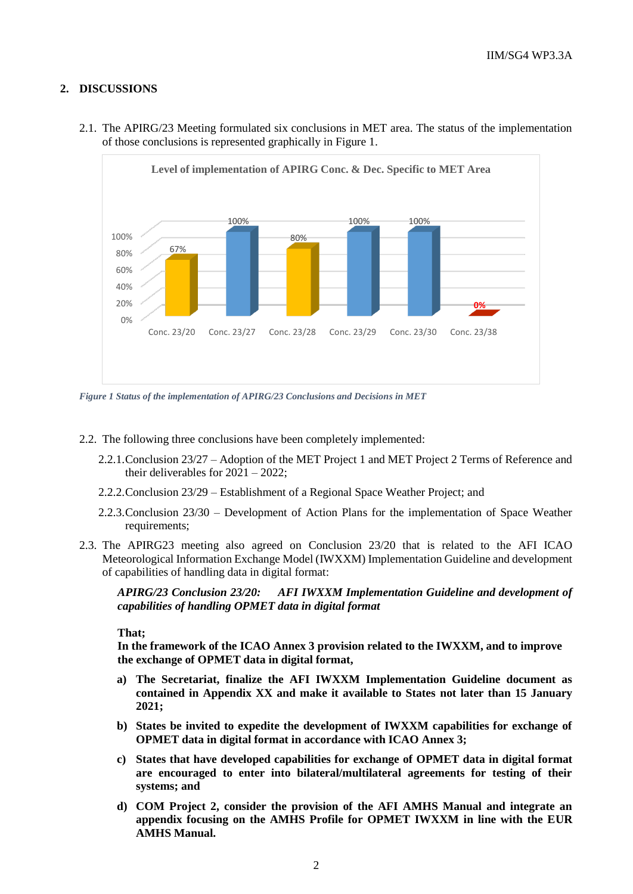# **2. DISCUSSIONS**



2.1. The APIRG/23 Meeting formulated six conclusions in MET area. The status of the implementation of those conclusions is represented graphically in Figure 1.

*Figure 1 Status of the implementation of APIRG/23 Conclusions and Decisions in MET*

- 2.2. The following three conclusions have been completely implemented:
	- 2.2.1.Conclusion 23/27 Adoption of the MET Project 1 and MET Project 2 Terms of Reference and their deliverables for  $2021 - 2022$ ;
	- 2.2.2.Conclusion 23/29 Establishment of a Regional Space Weather Project; and
	- 2.2.3.Conclusion 23/30 Development of Action Plans for the implementation of Space Weather requirements;
- 2.3. The APIRG23 meeting also agreed on Conclusion 23/20 that is related to the AFI ICAO Meteorological Information Exchange Model (IWXXM) Implementation Guideline and development of capabilities of handling data in digital format:

*APIRG/23 Conclusion 23/20: AFI IWXXM Implementation Guideline and development of capabilities of handling OPMET data in digital format*

**That;**

**In the framework of the ICAO Annex 3 provision related to the IWXXM, and to improve the exchange of OPMET data in digital format,**

- **a) The Secretariat, finalize the AFI IWXXM Implementation Guideline document as contained in Appendix XX and make it available to States not later than 15 January 2021;**
- **b) States be invited to expedite the development of IWXXM capabilities for exchange of OPMET data in digital format in accordance with ICAO Annex 3;**
- **c) States that have developed capabilities for exchange of OPMET data in digital format are encouraged to enter into bilateral/multilateral agreements for testing of their systems; and**
- **d) COM Project 2, consider the provision of the AFI AMHS Manual and integrate an appendix focusing on the AMHS Profile for OPMET IWXXM in line with the EUR AMHS Manual.**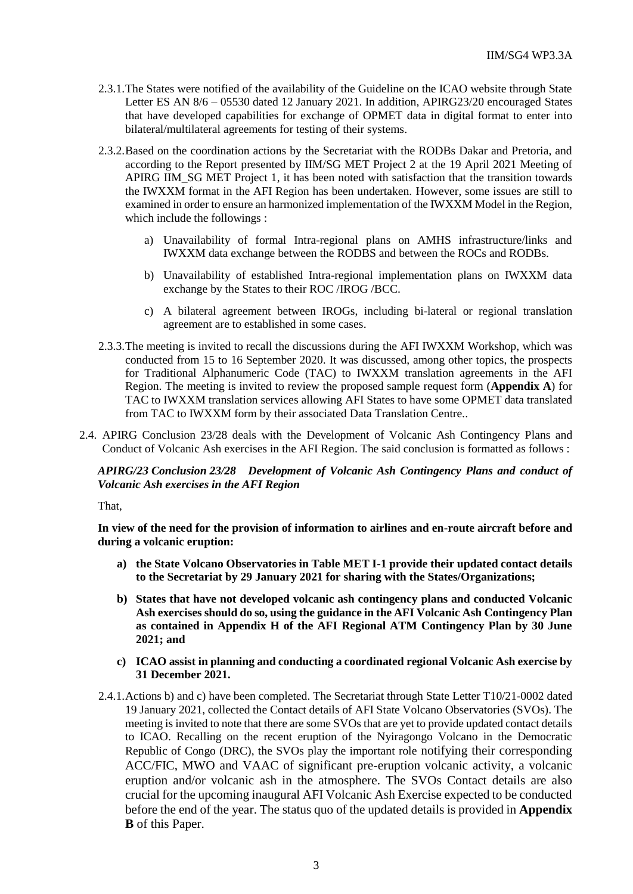- 2.3.1.The States were notified of the availability of the Guideline on the ICAO website through State Letter ES AN 8/6 – 05530 dated 12 January 2021. In addition, APIRG23/20 encouraged States that have developed capabilities for exchange of OPMET data in digital format to enter into bilateral/multilateral agreements for testing of their systems.
- 2.3.2.Based on the coordination actions by the Secretariat with the RODBs Dakar and Pretoria, and according to the Report presented by IIM/SG MET Project 2 at the 19 April 2021 Meeting of APIRG IIM\_SG MET Project 1, it has been noted with satisfaction that the transition towards the IWXXM format in the AFI Region has been undertaken. However, some issues are still to examined in order to ensure an harmonized implementation of the IWXXM Model in the Region, which include the followings :
	- a) Unavailability of formal Intra-regional plans on AMHS infrastructure/links and IWXXM data exchange between the RODBS and between the ROCs and RODBs.
	- b) Unavailability of established Intra-regional implementation plans on IWXXM data exchange by the States to their ROC /IROG /BCC.
	- c) A bilateral agreement between IROGs, including bi-lateral or regional translation agreement are to established in some cases.
- 2.3.3.The meeting is invited to recall the discussions during the AFI IWXXM Workshop, which was conducted from 15 to 16 September 2020. It was discussed, among other topics, the prospects for Traditional Alphanumeric Code (TAC) to IWXXM translation agreements in the AFI Region. The meeting is invited to review the proposed sample request form (**Appendix A**) for TAC to IWXXM translation services allowing AFI States to have some OPMET data translated from TAC to IWXXM form by their associated Data Translation Centre..
- 2.4. APIRG Conclusion 23/28 deals with the Development of Volcanic Ash Contingency Plans and Conduct of Volcanic Ash exercises in the AFI Region. The said conclusion is formatted as follows :

# *APIRG/23 Conclusion 23/28 Development of Volcanic Ash Contingency Plans and conduct of Volcanic Ash exercises in the AFI Region*

That,

**In view of the need for the provision of information to airlines and en-route aircraft before and during a volcanic eruption:** 

- **a) the State Volcano Observatories in Table MET I-1 provide their updated contact details to the Secretariat by 29 January 2021 for sharing with the States/Organizations;**
- **b) States that have not developed volcanic ash contingency plans and conducted Volcanic Ash exercises should do so, using the guidance in the AFI Volcanic Ash Contingency Plan as contained in Appendix H of the AFI Regional ATM Contingency Plan by 30 June 2021; and**
- **c) ICAO assist in planning and conducting a coordinated regional Volcanic Ash exercise by 31 December 2021.**
- 2.4.1.Actions b) and c) have been completed. The Secretariat through State Letter T10/21-0002 dated 19 January 2021, collected the Contact details of AFI State Volcano Observatories (SVOs). The meeting is invited to note that there are some SVOs that are yet to provide updated contact details to ICAO. Recalling on the recent eruption of the Nyiragongo Volcano in the Democratic Republic of Congo (DRC), the SVOs play the important role notifying their corresponding ACC/FIC, MWO and VAAC of significant pre-eruption volcanic activity, a volcanic eruption and/or volcanic ash in the atmosphere. The SVOs Contact details are also crucial for the upcoming inaugural AFI Volcanic Ash Exercise expected to be conducted before the end of the year. The status quo of the updated details is provided in **Appendix B** of this Paper.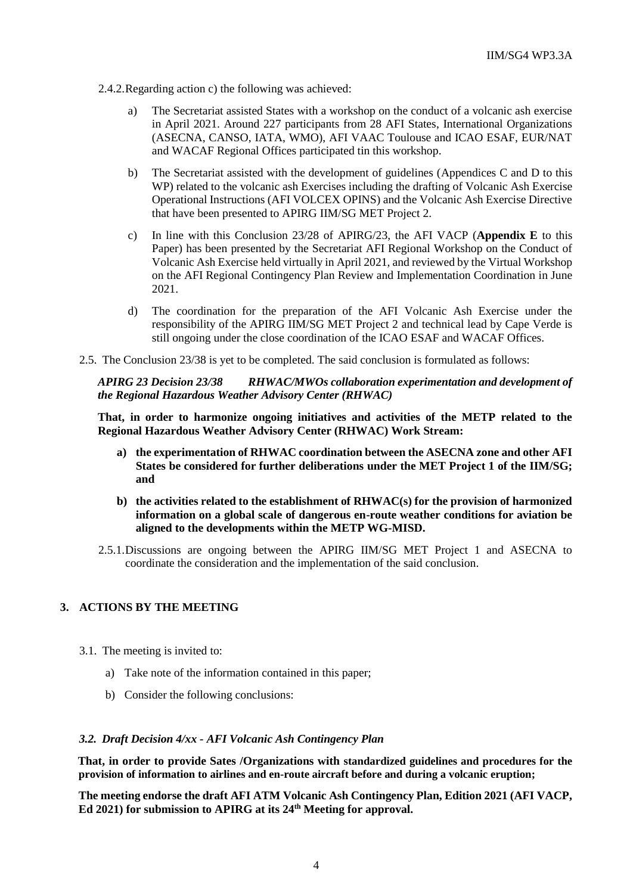- 2.4.2.Regarding action c) the following was achieved:
	- a) The Secretariat assisted States with a workshop on the conduct of a volcanic ash exercise in April 2021. Around 227 participants from 28 AFI States, International Organizations (ASECNA, CANSO, IATA, WMO), AFI VAAC Toulouse and ICAO ESAF, EUR/NAT and WACAF Regional Offices participated tin this workshop.
	- b) The Secretariat assisted with the development of guidelines (Appendices C and D to this WP) related to the volcanic ash Exercises including the drafting of Volcanic Ash Exercise Operational Instructions (AFI VOLCEX OPINS) and the Volcanic Ash Exercise Directive that have been presented to APIRG IIM/SG MET Project 2.
	- c) In line with this Conclusion 23/28 of APIRG/23, the AFI VACP (**Appendix E** to this Paper) has been presented by the Secretariat AFI Regional Workshop on the Conduct of Volcanic Ash Exercise held virtually in April 2021, and reviewed by the Virtual Workshop on the AFI Regional Contingency Plan Review and Implementation Coordination in June 2021.
	- d) The coordination for the preparation of the AFI Volcanic Ash Exercise under the responsibility of the APIRG IIM/SG MET Project 2 and technical lead by Cape Verde is still ongoing under the close coordination of the ICAO ESAF and WACAF Offices.
- 2.5. The Conclusion 23/38 is yet to be completed. The said conclusion is formulated as follows:

*APIRG 23 Decision 23/38 RHWAC/MWOs collaboration experimentation and development of the Regional Hazardous Weather Advisory Center (RHWAC)*

**That, in order to harmonize ongoing initiatives and activities of the METP related to the Regional Hazardous Weather Advisory Center (RHWAC) Work Stream:** 

- **a) the experimentation of RHWAC coordination between the ASECNA zone and other AFI States be considered for further deliberations under the MET Project 1 of the IIM/SG; and**
- **b) the activities related to the establishment of RHWAC(s) for the provision of harmonized information on a global scale of dangerous en-route weather conditions for aviation be aligned to the developments within the METP WG-MISD.**
- 2.5.1.Discussions are ongoing between the APIRG IIM/SG MET Project 1 and ASECNA to coordinate the consideration and the implementation of the said conclusion.

### **3. ACTIONS BY THE MEETING**

- 3.1. The meeting is invited to:
	- a) Take note of the information contained in this paper;
	- b) Consider the following conclusions:

#### *3.2. Draft Decision 4/xx - AFI Volcanic Ash Contingency Plan*

**That, in order to provide Sates /Organizations with standardized guidelines and procedures for the provision of information to airlines and en-route aircraft before and during a volcanic eruption;** 

**The meeting endorse the draft AFI ATM Volcanic Ash Contingency Plan, Edition 2021 (AFI VACP, Ed 2021) for submission to APIRG at its 24th Meeting for approval.**